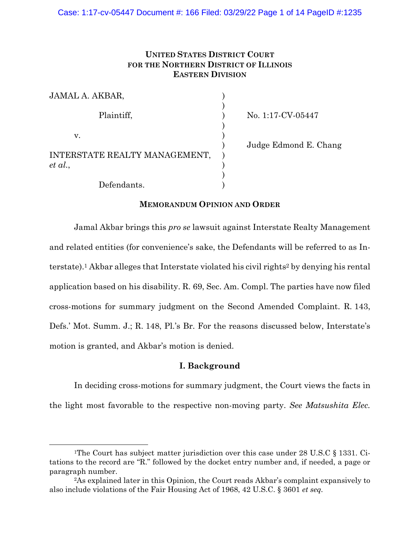# **UNITED STATES DISTRICT COURT FOR THE NORTHERN DISTRICT OF ILLINOIS EASTERN DIVISION**

| JAMAL A. AKBAR,               |  |
|-------------------------------|--|
| Plaintiff,                    |  |
| V.                            |  |
| INTERSTATE REALTY MANAGEMENT, |  |
| $et\ al.,$<br>Defendants.     |  |

No. 1:17-CV-05447

) Judge Edmond E. Chang

# **MEMORANDUM OPINION AND ORDER**

Jamal Akbar brings this *pro se* lawsuit against Interstate Realty Management and related entities (for convenience's sake, the Defendants will be referred to as Interstate).<sup>1</sup> Akbar alleges that Interstate violated his civil rights<sup>2</sup> by denying his rental application based on his disability. R. 69, Sec. Am. Compl. The parties have now filed cross-motions for summary judgment on the Second Amended Complaint. R. 143, Defs.' Mot. Summ. J.; R. 148, Pl.'s Br. For the reasons discussed below, Interstate's motion is granted, and Akbar's motion is denied.

# **I. Background**

In deciding cross-motions for summary judgment, the Court views the facts in the light most favorable to the respective non-moving party. *See Matsushita Elec.* 

<sup>&</sup>lt;sup>1</sup>The Court has subject matter jurisdiction over this case under 28 U.S.C  $\S$  1331. Citations to the record are "R." followed by the docket entry number and, if needed, a page or paragraph number.

<sup>2</sup>As explained later in this Opinion, the Court reads Akbar's complaint expansively to also include violations of the Fair Housing Act of 1968, 42 U.S.C. § 3601 *et seq.*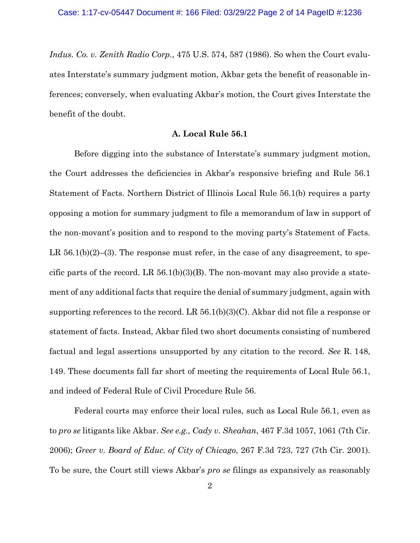*Indus. Co. v. Zenith Radio Corp.*, 475 U.S. 574, 587 (1986). So when the Court evaluates Interstate's summary judgment motion, Akbar gets the benefit of reasonable inferences; conversely, when evaluating Akbar's motion, the Court gives Interstate the benefit of the doubt.

## **A. Local Rule 56.1**

Before digging into the substance of Interstate's summary judgment motion, the Court addresses the deficiencies in Akbar's responsive briefing and Rule 56.1 Statement of Facts. Northern District of Illinois Local Rule 56.1(b) requires a party opposing a motion for summary judgment to file a memorandum of law in support of the non-movant's position and to respond to the moving party's Statement of Facts. LR  $56.1(b)(2)$ –(3). The response must refer, in the case of any disagreement, to specific parts of the record. LR  $56.1(b)(3)(B)$ . The non-movant may also provide a statement of any additional facts that require the denial of summary judgment, again with supporting references to the record. LR 56.1(b)(3)(C). Akbar did not file a response or statement of facts. Instead, Akbar filed two short documents consisting of numbered factual and legal assertions unsupported by any citation to the record. *See* R. 148, 149. These documents fall far short of meeting the requirements of Local Rule 56.1, and indeed of Federal Rule of Civil Procedure Rule 56.

Federal courts may enforce their local rules, such as Local Rule 56.1, even as to *pro se* litigants like Akbar. *See e.g., Cady v. Sheahan*, 467 F.3d 1057, 1061 (7th Cir. 2006); *Greer v. Board of Educ. of City of Chicago*, 267 F.3d 723, 727 (7th Cir. 2001). To be sure, the Court still views Akbar's *pro se* filings as expansively as reasonably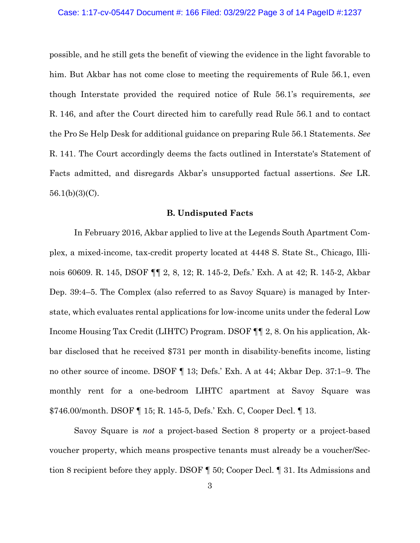possible, and he still gets the benefit of viewing the evidence in the light favorable to him. But Akbar has not come close to meeting the requirements of Rule 56.1, even though Interstate provided the required notice of Rule 56.1's requirements, *see* R. 146, and after the Court directed him to carefully read Rule 56.1 and to contact the Pro Se Help Desk for additional guidance on preparing Rule 56.1 Statements. *See* R. 141. The Court accordingly deems the facts outlined in Interstate's Statement of Facts admitted, and disregards Akbar's unsupported factual assertions. *See* LR.  $56.1(b)(3)(C)$ .

## **B. Undisputed Facts**

 In February 2016, Akbar applied to live at the Legends South Apartment Complex, a mixed-income, tax-credit property located at 4448 S. State St., Chicago, Illinois 60609. R. 145, DSOF ¶¶ 2, 8, 12; R. 145-2, Defs.' Exh. A at 42; R. 145-2, Akbar Dep. 39:4–5. The Complex (also referred to as Savoy Square) is managed by Interstate, which evaluates rental applications for low-income units under the federal Low Income Housing Tax Credit (LIHTC) Program. DSOF ¶¶ 2, 8. On his application, Akbar disclosed that he received \$731 per month in disability-benefits income, listing no other source of income. DSOF ¶ 13; Defs.' Exh. A at 44; Akbar Dep. 37:1–9. The monthly rent for a one-bedroom LIHTC apartment at Savoy Square was \$746.00/month. DSOF ¶ 15; R. 145-5, Defs.' Exh. C, Cooper Decl. ¶ 13.

Savoy Square is *not* a project-based Section 8 property or a project-based voucher property, which means prospective tenants must already be a voucher/Section 8 recipient before they apply. DSOF ¶ 50; Cooper Decl. ¶ 31. Its Admissions and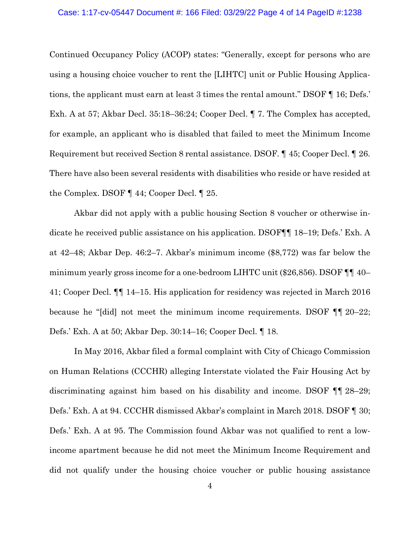#### Case: 1:17-cv-05447 Document #: 166 Filed: 03/29/22 Page 4 of 14 PageID #:1238

Continued Occupancy Policy (ACOP) states: "Generally, except for persons who are using a housing choice voucher to rent the [LIHTC] unit or Public Housing Applications, the applicant must earn at least 3 times the rental amount." DSOF ¶ 16; Defs.' Exh. A at 57; Akbar Decl. 35:18–36:24; Cooper Decl. ¶ 7. The Complex has accepted, for example, an applicant who is disabled that failed to meet the Minimum Income Requirement but received Section 8 rental assistance. DSOF*.* ¶ 45; Cooper Decl. ¶ 26. There have also been several residents with disabilities who reside or have resided at the Complex. DSOF ¶ 44; Cooper Decl. ¶ 25.

Akbar did not apply with a public housing Section 8 voucher or otherwise indicate he received public assistance on his application. DSOF¶¶ 18–19; Defs.' Exh. A at 42–48; Akbar Dep. 46:2–7. Akbar's minimum income (\$8,772) was far below the minimum yearly gross income for a one-bedroom LIHTC unit (\$26,856). DSOF ¶¶ 40– 41; Cooper Decl. ¶¶ 14–15. His application for residency was rejected in March 2016 because he "[did] not meet the minimum income requirements. DSOF ¶¶ 20–22; Defs.' Exh. A at 50; Akbar Dep. 30:14–16; Cooper Decl. ¶ 18.

In May 2016, Akbar filed a formal complaint with City of Chicago Commission on Human Relations (CCCHR) alleging Interstate violated the Fair Housing Act by discriminating against him based on his disability and income. DSOF ¶¶ 28–29; Defs.' Exh. A at 94. CCCHR dismissed Akbar's complaint in March 2018. DSOF ¶ 30; Defs.' Exh. A at 95. The Commission found Akbar was not qualified to rent a lowincome apartment because he did not meet the Minimum Income Requirement and did not qualify under the housing choice voucher or public housing assistance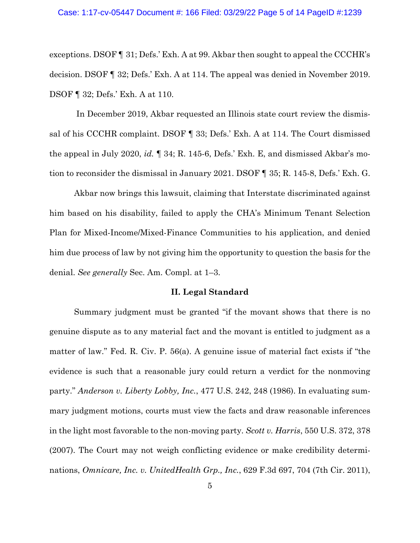#### Case: 1:17-cv-05447 Document #: 166 Filed: 03/29/22 Page 5 of 14 PageID #:1239

exceptions. DSOF ¶ 31; Defs.' Exh. A at 99. Akbar then sought to appeal the CCCHR's decision. DSOF ¶ 32; Defs.' Exh. A at 114. The appeal was denied in November 2019. DSOF ¶ 32; Defs.' Exh. A at 110.

 In December 2019, Akbar requested an Illinois state court review the dismissal of his CCCHR complaint. DSOF ¶ 33; Defs.' Exh. A at 114. The Court dismissed the appeal in July 2020, *id.* ¶ 34; R. 145-6, Defs.' Exh. E, and dismissed Akbar's motion to reconsider the dismissal in January 2021. DSOF ¶ 35; R. 145-8, Defs.' Exh. G.

Akbar now brings this lawsuit, claiming that Interstate discriminated against him based on his disability, failed to apply the CHA's Minimum Tenant Selection Plan for Mixed-Income/Mixed-Finance Communities to his application, and denied him due process of law by not giving him the opportunity to question the basis for the denial. *See generally* Sec. Am. Compl. at 1–3.

## **II. Legal Standard**

 Summary judgment must be granted "if the movant shows that there is no genuine dispute as to any material fact and the movant is entitled to judgment as a matter of law." Fed. R. Civ. P. 56(a). A genuine issue of material fact exists if "the evidence is such that a reasonable jury could return a verdict for the nonmoving party." *Anderson v. Liberty Lobby, Inc.*, 477 U.S. 242, 248 (1986). In evaluating summary judgment motions, courts must view the facts and draw reasonable inferences in the light most favorable to the non-moving party. *Scott v. Harris*, 550 U.S. 372, 378 (2007). The Court may not weigh conflicting evidence or make credibility determinations, *Omnicare, Inc. v. UnitedHealth Grp., Inc.*, 629 F.3d 697, 704 (7th Cir. 2011),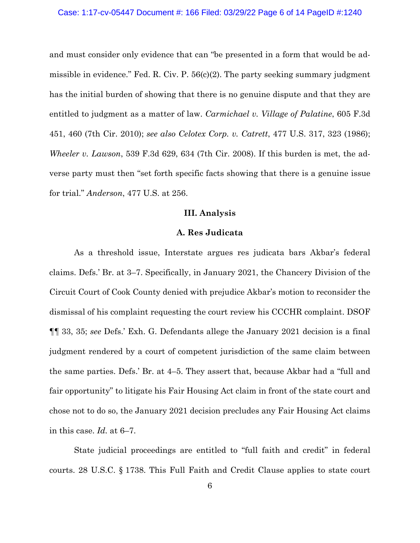#### Case: 1:17-cv-05447 Document #: 166 Filed: 03/29/22 Page 6 of 14 PageID #:1240

and must consider only evidence that can "be presented in a form that would be admissible in evidence." Fed. R. Civ. P. 56(c)(2). The party seeking summary judgment has the initial burden of showing that there is no genuine dispute and that they are entitled to judgment as a matter of law. *Carmichael v. Village of Palatine*, 605 F.3d 451, 460 (7th Cir. 2010); *see also Celotex Corp. v. Catrett*, 477 U.S. 317, 323 (1986); *Wheeler v. Lawson*, 539 F.3d 629, 634 (7th Cir. 2008). If this burden is met, the adverse party must then "set forth specific facts showing that there is a genuine issue for trial." *Anderson*, 477 U.S. at 256.

## **III. Analysis**

#### **A. Res Judicata**

 As a threshold issue, Interstate argues res judicata bars Akbar's federal claims. Defs.' Br. at 3–7. Specifically, in January 2021, the Chancery Division of the Circuit Court of Cook County denied with prejudice Akbar's motion to reconsider the dismissal of his complaint requesting the court review his CCCHR complaint. DSOF ¶¶ 33, 35; *see* Defs.' Exh. G. Defendants allege the January 2021 decision is a final judgment rendered by a court of competent jurisdiction of the same claim between the same parties. Defs.' Br. at 4–5. They assert that, because Akbar had a "full and fair opportunity" to litigate his Fair Housing Act claim in front of the state court and chose not to do so, the January 2021 decision precludes any Fair Housing Act claims in this case. *Id.* at 6–7.

State judicial proceedings are entitled to "full faith and credit" in federal courts. 28 U.S.C. § 1738. This Full Faith and Credit Clause applies to state court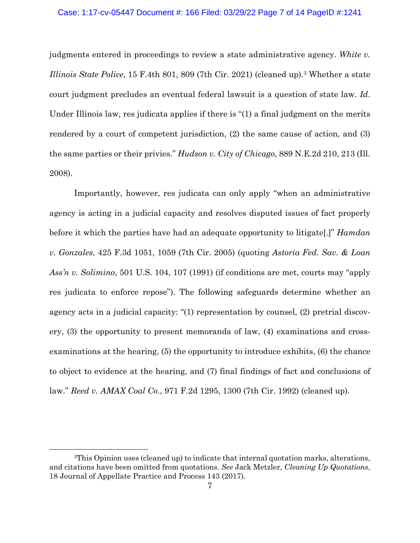## Case: 1:17-cv-05447 Document #: 166 Filed: 03/29/22 Page 7 of 14 PageID #:1241

judgments entered in proceedings to review a state administrative agency. *White v. Illinois State Police*, 15 F.4th 801, 809 (7th Cir. 2021) (cleaned up).3 Whether a state court judgment precludes an eventual federal lawsuit is a question of state law. *Id*. Under Illinois law, res judicata applies if there is "(1) a final judgment on the merits rendered by a court of competent jurisdiction, (2) the same cause of action, and (3) the same parties or their privies." *Hudson v. City of Chicago*, 889 N.E.2d 210, 213 (Ill. 2008).

Importantly, however, res judicata can only apply "when an administrative agency is acting in a judicial capacity and resolves disputed issues of fact properly before it which the parties have had an adequate opportunity to litigate[.]" *Hamdan v. Gonzales*, 425 F.3d 1051, 1059 (7th Cir. 2005) (quoting *Astoria Fed. Sav. & Loan Ass'n v. Solimino*, 501 U.S. 104, 107 (1991) (if conditions are met, courts may "apply res judicata to enforce repose"). The following safeguards determine whether an agency acts in a judicial capacity: "(1) representation by counsel, (2) pretrial discovery, (3) the opportunity to present memoranda of law, (4) examinations and crossexaminations at the hearing, (5) the opportunity to introduce exhibits, (6) the chance to object to evidence at the hearing, and (7) final findings of fact and conclusions of law." *Reed v. AMAX Coal Co.*, 971 F.2d 1295, 1300 (7th Cir. 1992) (cleaned up).

<sup>3</sup>This Opinion uses (cleaned up) to indicate that internal quotation marks, alterations, and citations have been omitted from quotations. *See* Jack Metzler, *Cleaning Up Quotations*, 18 Journal of Appellate Practice and Process 143 (2017).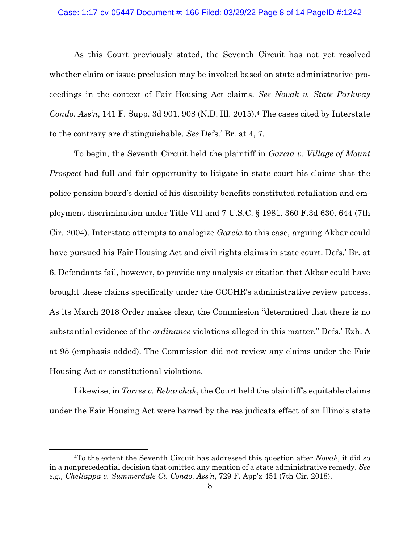## Case: 1:17-cv-05447 Document #: 166 Filed: 03/29/22 Page 8 of 14 PageID #:1242

 As this Court previously stated, the Seventh Circuit has not yet resolved whether claim or issue preclusion may be invoked based on state administrative proceedings in the context of Fair Housing Act claims. *See Novak v. State Parkway Condo. Ass'n*, 141 F. Supp. 3d 901, 908 (N.D. Ill. 2015).<sup>4</sup> The cases cited by Interstate to the contrary are distinguishable. *See* Defs.' Br. at 4, 7.

To begin, the Seventh Circuit held the plaintiff in *Garcia v. Village of Mount Prospect* had full and fair opportunity to litigate in state court his claims that the police pension board's denial of his disability benefits constituted retaliation and employment discrimination under Title VII and 7 U.S.C. § 1981. 360 F.3d 630, 644 (7th Cir. 2004). Interstate attempts to analogize *Garcia* to this case, arguing Akbar could have pursued his Fair Housing Act and civil rights claims in state court. Defs.' Br. at 6. Defendants fail, however, to provide any analysis or citation that Akbar could have brought these claims specifically under the CCCHR's administrative review process. As its March 2018 Order makes clear, the Commission "determined that there is no substantial evidence of the *ordinance* violations alleged in this matter." Defs.' Exh. A at 95 (emphasis added). The Commission did not review any claims under the Fair Housing Act or constitutional violations.

Likewise, in *Torres v. Rebarchak*, the Court held the plaintiff's equitable claims under the Fair Housing Act were barred by the res judicata effect of an Illinois state

<sup>4</sup>To the extent the Seventh Circuit has addressed this question after *Novak*, it did so in a nonprecedential decision that omitted any mention of a state administrative remedy. *See e.g., Chellappa v. Summerdale Ct. Condo. Ass'n*, 729 F. App'x 451 (7th Cir. 2018).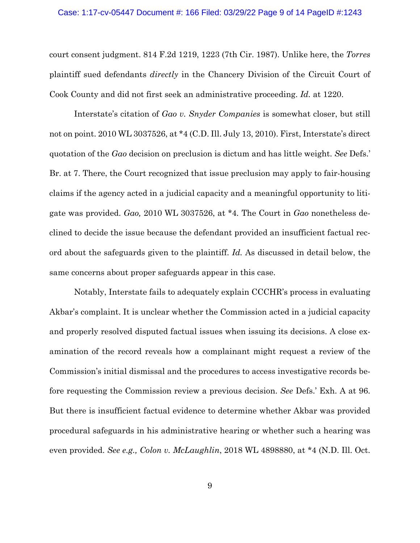### Case: 1:17-cv-05447 Document #: 166 Filed: 03/29/22 Page 9 of 14 PageID #:1243

court consent judgment. 814 F.2d 1219, 1223 (7th Cir. 1987). Unlike here, the *Torres* plaintiff sued defendants *directly* in the Chancery Division of the Circuit Court of Cook County and did not first seek an administrative proceeding. *Id.* at 1220.

Interstate's citation of *Gao v. Snyder Companies* is somewhat closer, but still not on point. 2010 WL 3037526, at \*4 (C.D. Ill. July 13, 2010). First, Interstate's direct quotation of the *Gao* decision on preclusion is dictum and has little weight. *See* Defs.' Br. at 7. There, the Court recognized that issue preclusion may apply to fair-housing claims if the agency acted in a judicial capacity and a meaningful opportunity to litigate was provided. *Gao,* 2010 WL 3037526, at \*4*.* The Court in *Gao* nonetheless declined to decide the issue because the defendant provided an insufficient factual record about the safeguards given to the plaintiff. *Id.* As discussed in detail below, the same concerns about proper safeguards appear in this case.

 Notably, Interstate fails to adequately explain CCCHR's process in evaluating Akbar's complaint. It is unclear whether the Commission acted in a judicial capacity and properly resolved disputed factual issues when issuing its decisions. A close examination of the record reveals how a complainant might request a review of the Commission's initial dismissal and the procedures to access investigative records before requesting the Commission review a previous decision. *See* Defs.' Exh. A at 96. But there is insufficient factual evidence to determine whether Akbar was provided procedural safeguards in his administrative hearing or whether such a hearing was even provided. *See e.g., Colon v. McLaughlin*, 2018 WL 4898880, at \*4 (N.D. Ill. Oct.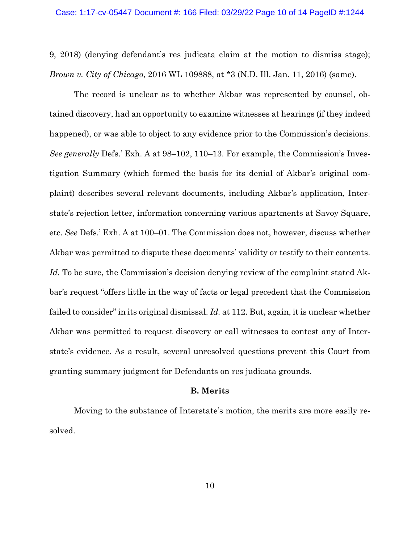9, 2018) (denying defendant's res judicata claim at the motion to dismiss stage); *Brown v. City of Chicago*, 2016 WL 109888, at \*3 (N.D. Ill. Jan. 11, 2016) (same).

The record is unclear as to whether Akbar was represented by counsel, obtained discovery, had an opportunity to examine witnesses at hearings (if they indeed happened), or was able to object to any evidence prior to the Commission's decisions. *See generally* Defs.' Exh. A at 98–102, 110–13. For example, the Commission's Investigation Summary (which formed the basis for its denial of Akbar's original complaint) describes several relevant documents, including Akbar's application, Interstate's rejection letter, information concerning various apartments at Savoy Square, etc. *See* Defs.' Exh. A at 100–01. The Commission does not, however, discuss whether Akbar was permitted to dispute these documents' validity or testify to their contents. Id. To be sure, the Commission's decision denying review of the complaint stated Akbar's request "offers little in the way of facts or legal precedent that the Commission failed to consider" in its original dismissal. *Id.* at 112. But, again, it is unclear whether Akbar was permitted to request discovery or call witnesses to contest any of Interstate's evidence. As a result, several unresolved questions prevent this Court from granting summary judgment for Defendants on res judicata grounds.

## **B. Merits**

Moving to the substance of Interstate's motion, the merits are more easily resolved.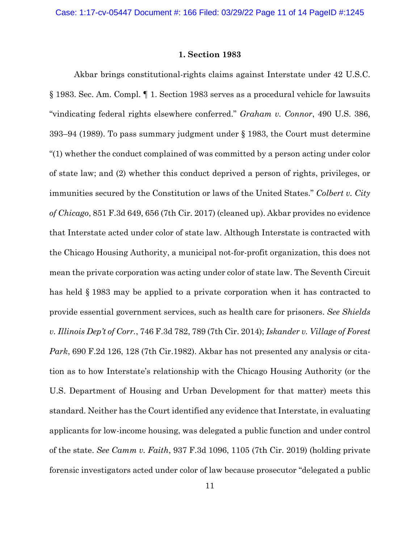## **1. Section 1983**

 Akbar brings constitutional-rights claims against Interstate under 42 U.S.C. § 1983. Sec. Am. Compl. ¶ 1. Section 1983 serves as a procedural vehicle for lawsuits "vindicating federal rights elsewhere conferred." *Graham v. Connor*, 490 U.S. 386, 393–94 (1989). To pass summary judgment under § 1983, the Court must determine "(1) whether the conduct complained of was committed by a person acting under color of state law; and (2) whether this conduct deprived a person of rights, privileges, or immunities secured by the Constitution or laws of the United States." *Colbert v. City of Chicago*, 851 F.3d 649, 656 (7th Cir. 2017) (cleaned up). Akbar provides no evidence that Interstate acted under color of state law. Although Interstate is contracted with the Chicago Housing Authority, a municipal not-for-profit organization, this does not mean the private corporation was acting under color of state law. The Seventh Circuit has held § 1983 may be applied to a private corporation when it has contracted to provide essential government services, such as health care for prisoners. *See Shields v. Illinois Dep't of Corr.*, 746 F.3d 782, 789 (7th Cir. 2014); *Iskander v. Village of Forest Park*, 690 F.2d 126, 128 (7th Cir.1982). Akbar has not presented any analysis or citation as to how Interstate's relationship with the Chicago Housing Authority (or the U.S. Department of Housing and Urban Development for that matter) meets this standard. Neither has the Court identified any evidence that Interstate, in evaluating applicants for low-income housing, was delegated a public function and under control of the state. *See Camm v. Faith*, 937 F.3d 1096, 1105 (7th Cir. 2019) (holding private forensic investigators acted under color of law because prosecutor "delegated a public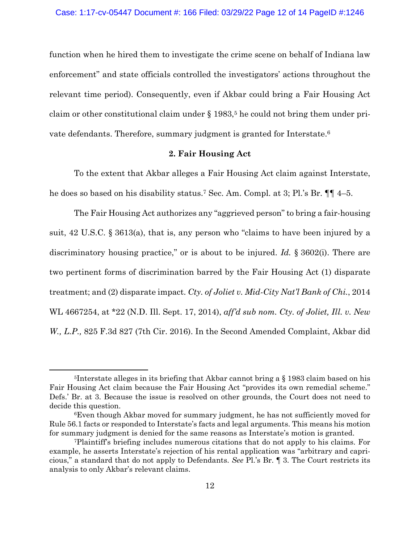function when he hired them to investigate the crime scene on behalf of Indiana law enforcement" and state officials controlled the investigators' actions throughout the relevant time period). Consequently, even if Akbar could bring a Fair Housing Act claim or other constitutional claim under  $\S 1983$ ,<sup>5</sup> he could not bring them under private defendants. Therefore, summary judgment is granted for Interstate.<sup>6</sup>

## **2. Fair Housing Act**

To the extent that Akbar alleges a Fair Housing Act claim against Interstate, he does so based on his disability status.7 Sec. Am. Compl. at 3; Pl.'s Br. ¶¶ 4–5.

 The Fair Housing Act authorizes any "aggrieved person" to bring a fair-housing suit, 42 U.S.C. § 3613(a), that is, any person who "claims to have been injured by a discriminatory housing practice," or is about to be injured. *Id.* § 3602(i). There are two pertinent forms of discrimination barred by the Fair Housing Act (1) disparate treatment; and (2) disparate impact. *Cty. of Joliet v. Mid-City Nat'l Bank of Chi.*, 2014 WL 4667254, at \*22 (N.D. Ill. Sept. 17, 2014), *aff'd sub nom. Cty. of Joliet, Ill. v. New W., L.P.,* 825 F.3d 827 (7th Cir. 2016). In the Second Amended Complaint, Akbar did

<sup>&</sup>lt;sup>5</sup>Interstate alleges in its briefing that Akbar cannot bring a  $\S$  1983 claim based on his Fair Housing Act claim because the Fair Housing Act "provides its own remedial scheme." Defs.' Br. at 3. Because the issue is resolved on other grounds, the Court does not need to decide this question.

<sup>6</sup>Even though Akbar moved for summary judgment, he has not sufficiently moved for Rule 56.1 facts or responded to Interstate's facts and legal arguments. This means his motion for summary judgment is denied for the same reasons as Interstate's motion is granted.

<sup>7</sup>Plaintiff's briefing includes numerous citations that do not apply to his claims. For example, he asserts Interstate's rejection of his rental application was "arbitrary and capricious," a standard that do not apply to Defendants. *See* Pl.'s Br. ¶ 3. The Court restricts its analysis to only Akbar's relevant claims.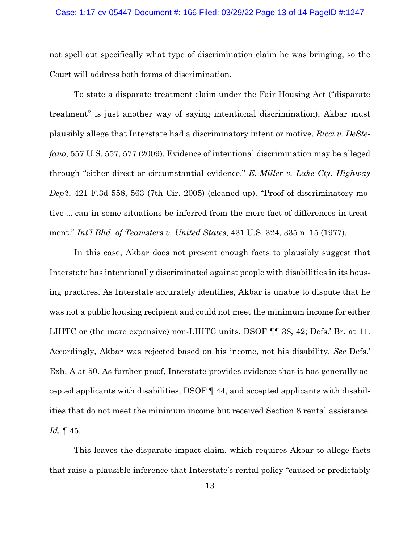not spell out specifically what type of discrimination claim he was bringing, so the Court will address both forms of discrimination.

 To state a disparate treatment claim under the Fair Housing Act ("disparate treatment" is just another way of saying intentional discrimination), Akbar must plausibly allege that Interstate had a discriminatory intent or motive. *Ricci v. DeStefano*, 557 U.S. 557, 577 (2009). Evidence of intentional discrimination may be alleged through "either direct or circumstantial evidence." *E.-Miller v. Lake Cty. Highway Dep't*, 421 F.3d 558, 563 (7th Cir. 2005) (cleaned up). "Proof of discriminatory motive ... can in some situations be inferred from the mere fact of differences in treatment." *Int'l Bhd. of Teamsters v. United States*, 431 U.S. 324, 335 n. 15 (1977).

In this case, Akbar does not present enough facts to plausibly suggest that Interstate has intentionally discriminated against people with disabilities in its housing practices. As Interstate accurately identifies, Akbar is unable to dispute that he was not a public housing recipient and could not meet the minimum income for either LIHTC or (the more expensive) non-LIHTC units. DSOF ¶¶ 38, 42; Defs.' Br. at 11. Accordingly, Akbar was rejected based on his income, not his disability. *See* Defs.' Exh. A at 50. As further proof, Interstate provides evidence that it has generally accepted applicants with disabilities, DSOF ¶ 44, and accepted applicants with disabilities that do not meet the minimum income but received Section 8 rental assistance. *Id.* ¶ 45.

This leaves the disparate impact claim, which requires Akbar to allege facts that raise a plausible inference that Interstate's rental policy "caused or predictably